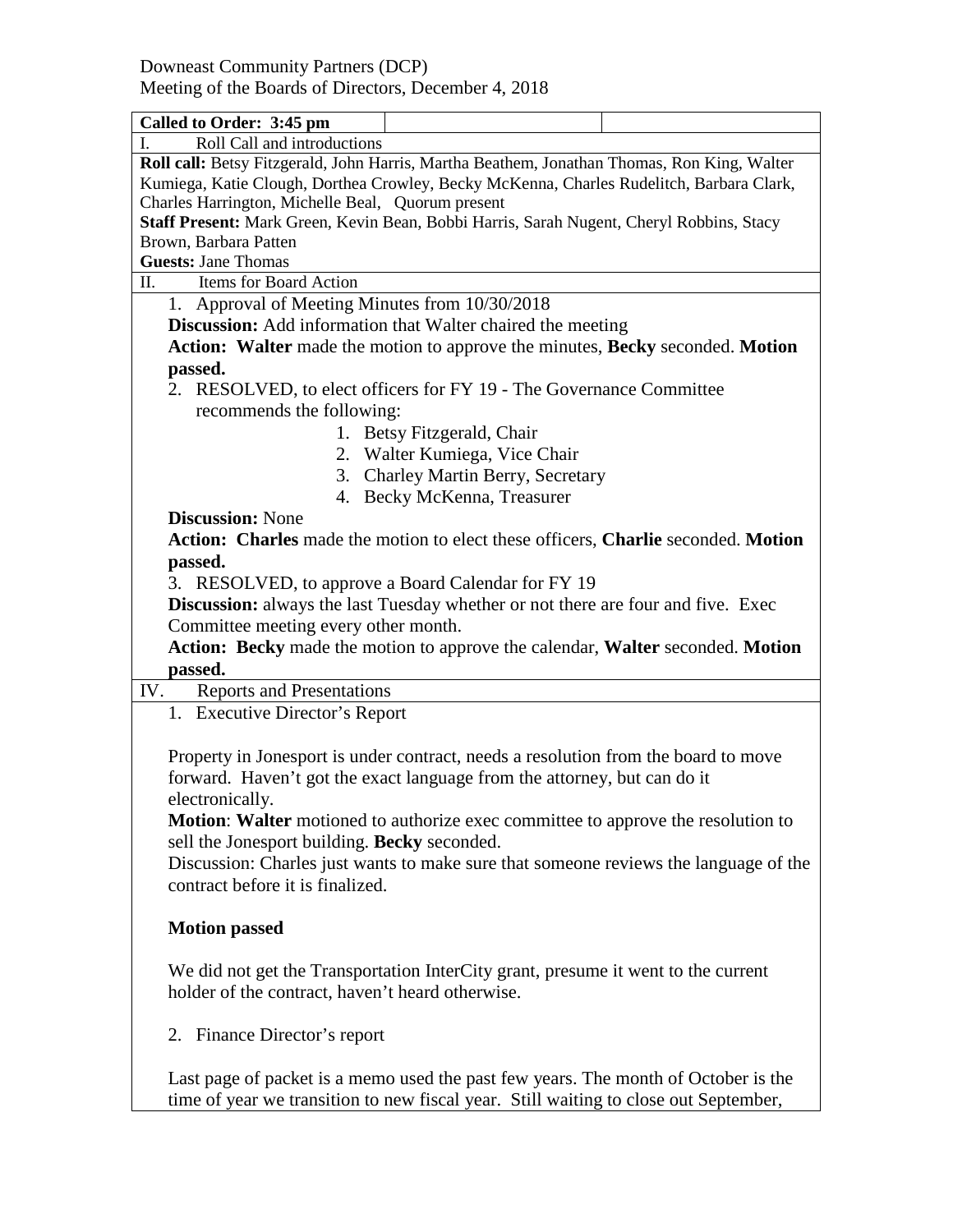Downeast Community Partners (DCP)

Meeting of the Boards of Directors, December 4, 2018

| Called to Order: 3:45 pm                                                                    |  |  |  |
|---------------------------------------------------------------------------------------------|--|--|--|
| Roll Call and introductions                                                                 |  |  |  |
| Roll call: Betsy Fitzgerald, John Harris, Martha Beathem, Jonathan Thomas, Ron King, Walter |  |  |  |
| Kumiega, Katie Clough, Dorthea Crowley, Becky McKenna, Charles Rudelitch, Barbara Clark,    |  |  |  |
| Charles Harrington, Michelle Beal, Quorum present                                           |  |  |  |
| Staff Present: Mark Green, Kevin Bean, Bobbi Harris, Sarah Nugent, Cheryl Robbins, Stacy    |  |  |  |
| Brown, Barbara Patten                                                                       |  |  |  |
| <b>Guests: Jane Thomas</b>                                                                  |  |  |  |
| <b>Items for Board Action</b><br>П.                                                         |  |  |  |
| 1. Approval of Meeting Minutes from 10/30/2018                                              |  |  |  |
| <b>Discussion:</b> Add information that Walter chaired the meeting                          |  |  |  |
| Action: Walter made the motion to approve the minutes, Becky seconded. Motion               |  |  |  |
| passed.                                                                                     |  |  |  |
| 2. RESOLVED, to elect officers for FY 19 - The Governance Committee                         |  |  |  |
| recommends the following:                                                                   |  |  |  |
|                                                                                             |  |  |  |
| 1. Betsy Fitzgerald, Chair                                                                  |  |  |  |
| 2. Walter Kumiega, Vice Chair                                                               |  |  |  |
| 3. Charley Martin Berry, Secretary                                                          |  |  |  |
| 4. Becky McKenna, Treasurer                                                                 |  |  |  |
| <b>Discussion: None</b>                                                                     |  |  |  |
| Action: Charles made the motion to elect these officers, Charlie seconded. Motion           |  |  |  |
| passed.                                                                                     |  |  |  |
| 3. RESOLVED, to approve a Board Calendar for FY 19                                          |  |  |  |
| <b>Discussion:</b> always the last Tuesday whether or not there are four and five. Exec     |  |  |  |
| Committee meeting every other month.                                                        |  |  |  |
| Action: Becky made the motion to approve the calendar, Walter seconded. Motion              |  |  |  |
| passed.                                                                                     |  |  |  |
| IV.<br><b>Reports and Presentations</b>                                                     |  |  |  |
| 1. Executive Director's Report                                                              |  |  |  |
|                                                                                             |  |  |  |
|                                                                                             |  |  |  |
| Property in Jonesport is under contract, needs a resolution from the board to move          |  |  |  |
| forward. Haven't got the exact language from the attorney, but can do it                    |  |  |  |
| electronically.                                                                             |  |  |  |
| <b>Motion: Walter</b> motioned to authorize exec committee to approve the resolution to     |  |  |  |
| sell the Jonesport building. Becky seconded.                                                |  |  |  |
| Discussion: Charles just wants to make sure that someone reviews the language of the        |  |  |  |
| contract before it is finalized.                                                            |  |  |  |
|                                                                                             |  |  |  |
| <b>Motion passed</b>                                                                        |  |  |  |
|                                                                                             |  |  |  |
| We did not get the Transportation InterCity grant, presume it went to the current           |  |  |  |
| holder of the contract, haven't heard otherwise.                                            |  |  |  |
|                                                                                             |  |  |  |
|                                                                                             |  |  |  |
| 2. Finance Director's report                                                                |  |  |  |
|                                                                                             |  |  |  |
| Last page of packet is a memo used the past few years. The month of October is the          |  |  |  |
| time of year we transition to new fiscal year. Still waiting to close out September,        |  |  |  |